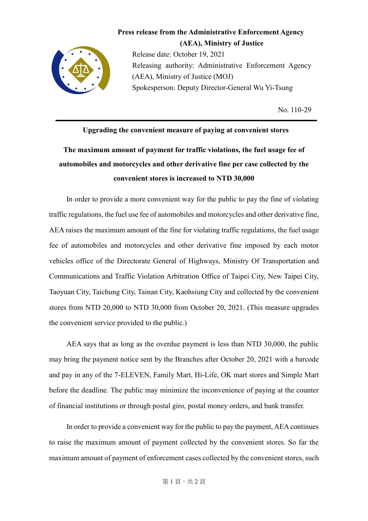

**Press release from the Administrative Enforcement Agency (AEA), Ministry of Justice** Release date: October 19, 2021 Releasing authority: Administrative Enforcement Agency (AEA), Ministry of Justice (MOJ) Spokesperson: Deputy Director-General Wu Yi-Tsung

No. 110-29

## **Upgrading the convenient measure of paying at convenient stores The maximum amount of payment for traffic violations, the fuel usage fee of automobiles and motorcycles and other derivative fine per case collected by the convenient stores is increased to NTD 30,000**

 In order to provide a more convenient way for the public to pay the fine of violating traffic regulations, the fuel use fee of automobiles and motorcycles and other derivative fine, AEA raises the maximum amount of the fine for violating traffic regulations, the fuel usage fee of automobiles and motorcycles and other derivative fine imposed by each motor vehicles office of the Directorate General of Highways, Ministry Of Transportation and Communications and Traffic Violation Arbitration Office of Taipei City, New Taipei City, Taoyuan City, Taichung City, Tainan City, Kaohsiung City and collected by the convenient stores from NTD 20,000 to NTD 30,000 from October 20, 2021. (This measure upgrades the convenient service provided to the public.)

 AEA says that as long as the overdue payment is less than NTD 30,000, the public may bring the payment notice sent by the Branches after October 20, 2021 with a barcode and pay in any of the 7-ELEVEN, Family Mart, Hi-Life, OK mart stores and Simple Mart before the deadline. The public may minimize the inconvenience of paying at the counter of financial institutions or through postal giro, postal money orders, and bank transfer.

 In order to provide a convenient way for the public to pay the payment, AEA continues to raise the maximum amount of payment collected by the convenient stores. So far the maximum amount of payment of enforcement cases collected by the convenient stores, such